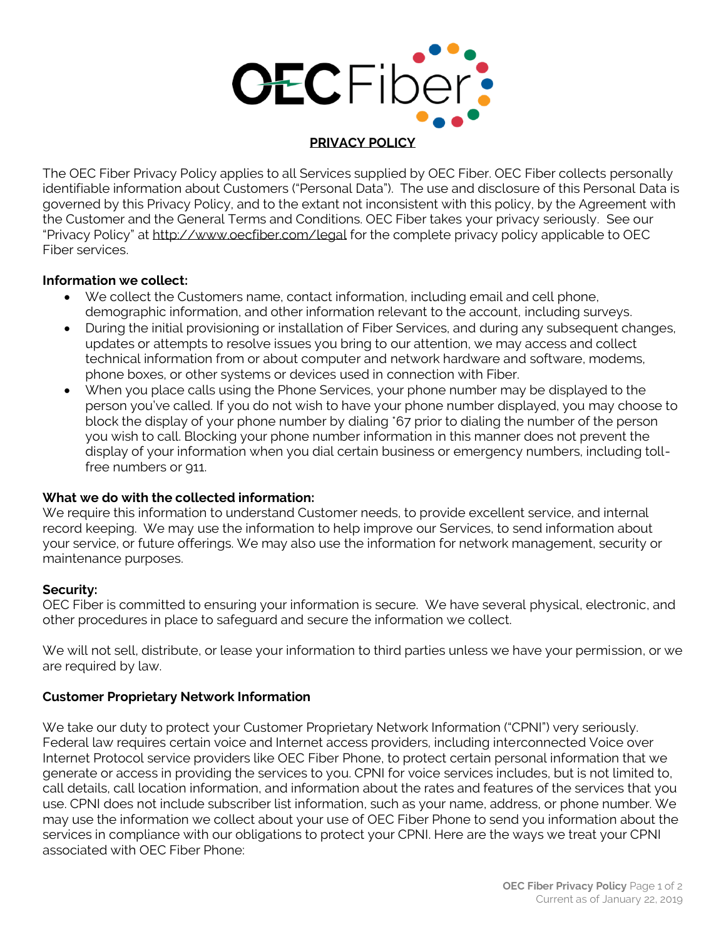

## **PRIVACY POLICY**

The OEC Fiber Privacy Policy applies to all Services supplied by OEC Fiber. OEC Fiber collects personally identifiable information about Customers ("Personal Data"). The use and disclosure of this Personal Data is governed by this Privacy Policy, and to the extant not inconsistent with this policy, by the Agreement with the Customer and the General Terms and Conditions. OEC Fiber takes your privacy seriously. See our "Privacy Policy" at [http://www.oecfiber.com/l](http://www.oecfiber.com/)egal for the complete privacy policy applicable to OEC Fiber services.

# **Information we collect:**

- We collect the Customers name, contact information, including email and cell phone, demographic information, and other information relevant to the account, including surveys.
- During the initial provisioning or installation of Fiber Services, and during any subsequent changes, updates or attempts to resolve issues you bring to our attention, we may access and collect technical information from or about computer and network hardware and software, modems, phone boxes, or other systems or devices used in connection with Fiber.
- When you place calls using the Phone Services, your phone number may be displayed to the person you've called. If you do not wish to have your phone number displayed, you may choose to block the display of your phone number by dialing \*67 prior to dialing the number of the person you wish to call. Blocking your phone number information in this manner does not prevent the display of your information when you dial certain business or emergency numbers, including tollfree numbers or 911.

# **What we do with the collected information:**

We require this information to understand Customer needs, to provide excellent service, and internal record keeping. We may use the information to help improve our Services, to send information about your service, or future offerings. We may also use the information for network management, security or maintenance purposes.

# **Security:**

OEC Fiber is committed to ensuring your information is secure. We have several physical, electronic, and other procedures in place to safeguard and secure the information we collect.

We will not sell, distribute, or lease your information to third parties unless we have your permission, or we are required by law.

# **Customer Proprietary Network Information**

We take our duty to protect your Customer Proprietary Network Information ("CPNI") very seriously. Federal law requires certain voice and Internet access providers, including interconnected Voice over Internet Protocol service providers like OEC Fiber Phone, to protect certain personal information that we generate or access in providing the services to you. CPNI for voice services includes, but is not limited to, call details, call location information, and information about the rates and features of the services that you use. CPNI does not include subscriber list information, such as your name, address, or phone number. We may use the information we collect about your use of OEC Fiber Phone to send you information about the services in compliance with our obligations to protect your CPNI. Here are the ways we treat your CPNI associated with OEC Fiber Phone: